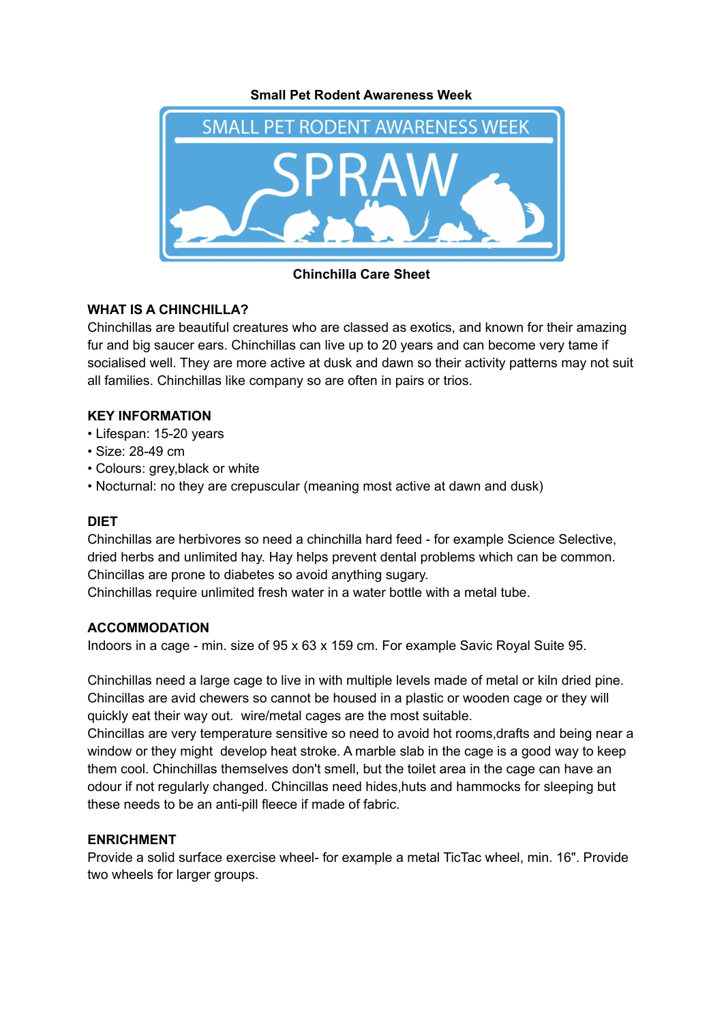**Small Pet Rodent Awareness Week**



**Chinchilla Care Sheet**

# **WHAT IS A CHINCHILLA?**

Chinchillas are beautiful creatures who are classed as exotics, and known for their amazing fur and big saucer ears. Chinchillas can live up to 20 years and can become very tame if socialised well. They are more active at dusk and dawn so their activity patterns may not suit all families. Chinchillas like company so are often in pairs or trios.

## **KEY INFORMATION**

- Lifespan: 15-20 years
- Size: 28-49 cm
- Colours: grey,black or white
- Nocturnal: no they are crepuscular (meaning most active at dawn and dusk)

## **DIET**

Chinchillas are herbivores so need a chinchilla hard feed - for example Science Selective, dried herbs and unlimited hay. Hay helps prevent dental problems which can be common. Chincillas are prone to diabetes so avoid anything sugary.

Chinchillas require unlimited fresh water in a water bottle with a metal tube.

## **ACCOMMODATION**

Indoors in a cage - min. size of 95 x 63 x 159 cm. For example Savic Royal Suite 95.

Chinchillas need a large cage to live in with multiple levels made of metal or kiln dried pine. Chincillas are avid chewers so cannot be housed in a plastic or wooden cage or they will quickly eat their way out. wire/metal cages are the most suitable.

Chincillas are very temperature sensitive so need to avoid hot rooms,drafts and being near a window or they might develop heat stroke. A marble slab in the cage is a good way to keep them cool. Chinchillas themselves don't smell, but the toilet area in the cage can have an odour if not regularly changed. Chincillas need hides,huts and hammocks for sleeping but these needs to be an anti-pill fleece if made of fabric.

## **ENRICHMENT**

Provide a solid surface exercise wheel- for example a metal TicTac wheel, min. 16". Provide two wheels for larger groups.